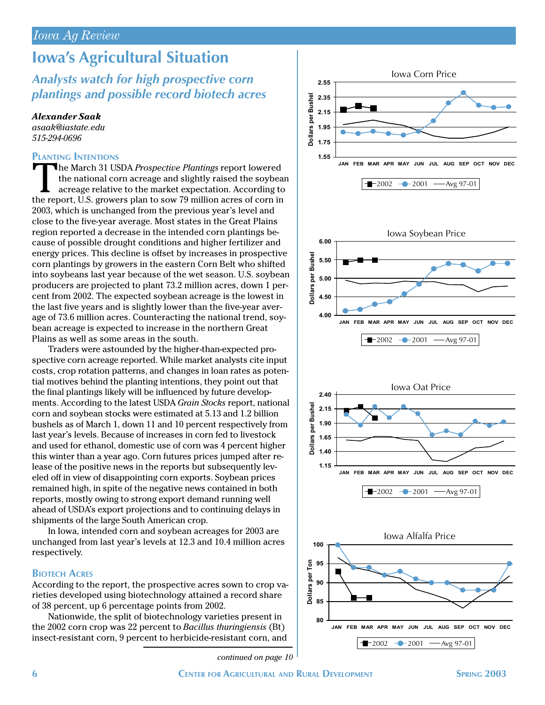# **Iowa's Agricultural Situation**

## *Analysts watch for high prospective corn plantings and possible record biotech acres*

*Alexander Saak*

*asaak@iastate.edu 515-294-0696*

### **PLANTING INTENTIONS**

The March 31 USDA *Prospective Plantings* report lowered the national corn acreage and slightly raised the soybean acreage relative to the market expectation. According to the report, U.S. growers plan to sow 79 million acres of corn in 2003, which is unchanged from the previous year's level and close to the five-year average. Most states in the Great Plains region reported a decrease in the intended corn plantings because of possible drought conditions and higher fertilizer and energy prices. This decline is offset by increases in prospective corn plantings by growers in the eastern Corn Belt who shifted into soybeans last year because of the wet season. U.S. soybean producers are projected to plant 73.2 million acres, down 1 percent from 2002. The expected soybean acreage is the lowest in the last five years and is slightly lower than the five-year average of 73.6 million acres. Counteracting the national trend, soybean acreage is expected to increase in the northern Great Plains as well as some areas in the south.

Traders were astounded by the higher-than-expected prospective corn acreage reported. While market analysts cite input costs, crop rotation patterns, and changes in loan rates as potential motives behind the planting intentions, they point out that the final plantings likely will be influenced by future developments. According to the latest USDA *Grain Stocks* report, national corn and soybean stocks were estimated at 5.13 and 1.2 billion bushels as of March 1, down 11 and 10 percent respectively from last year's levels. Because of increases in corn fed to livestock and used for ethanol, domestic use of corn was 4 percent higher this winter than a year ago. Corn futures prices jumped after release of the positive news in the reports but subsequently leveled off in view of disappointing corn exports. Soybean prices remained high, in spite of the negative news contained in both reports, mostly owing to strong export demand running well ahead of USDA's export projections and to continuing delays in shipments of the large South American crop.

In Iowa, intended corn and soybean acreages for 2003 are unchanged from last year's levels at 12.3 and 10.4 million acres respectively.

### **BIOTECH ACRES**

According to the report, the prospective acres sown to crop varieties developed using biotechnology attained a record share of 38 percent, up 6 percentage points from 2002.

Nationwide, the split of biotechnology varieties present in the 2002 corn crop was 22 percent to *Bacillus thuringiensis* (Bt) insect-resistant corn, 9 percent to herbicide-resistant corn, and

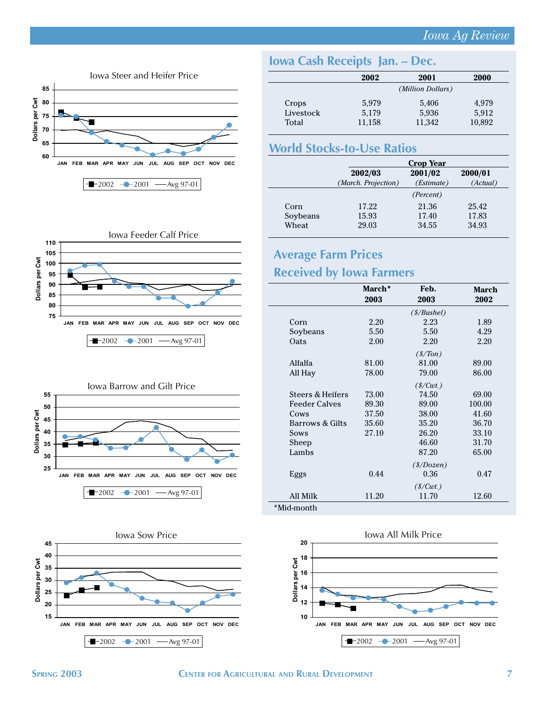### *Iowa Ag Review*



# **Iowa Cash Receipts Jan. – Dec.**

|           | 2002              | 2001   | 2000   |
|-----------|-------------------|--------|--------|
|           | (Million Dollars) |        |        |
| Crops     | 5,979             | 5,406  | 4,979  |
| Livestock | 5,179             | 5,936  | 5,912  |
| Total     | 11,158            | 11,342 | 10,892 |

### **World Stocks-to-Use Ratios**

|          | <b>Crop Year</b>    |            |          |
|----------|---------------------|------------|----------|
|          | 2002/03             | 2001/02    | 2000/01  |
|          | (March. Projection) | (Estimate) | (Actual) |
|          |                     | (Percent)  |          |
| Corn     | 17.22               | 21.36      | 25.42    |
| Soybeans | 15.93               | 17.40      | 17.83    |
| Wheat    | 29.03               | 34.55      | 34.93    |







# **Average Farm Prices Received by Iowa Farmers**

### **March\* Feb. 2003 2003 2002** *(\$/Bushel)* **March**

|                      |                     | $(\frac{s}{B}$ ushel)           |        |  |
|----------------------|---------------------|---------------------------------|--------|--|
| Corn                 | 2.20                | 2.23                            | 1.89   |  |
| Soybeans             | 5.50                | 5.50                            | 4.29   |  |
| Oats                 | 2.00                | 2.20                            | 2.20   |  |
|                      |                     | $(\frac{s}{T}$ on               |        |  |
| Alfalfa              | 81.00               | 81.00                           | 89.00  |  |
| All Hay              | 78.00               | 79.00                           | 86.00  |  |
|                      | (S/Cwt.)            |                                 |        |  |
| Steers & Heifers     | 73.00               | 74.50                           | 69.00  |  |
| <b>Feeder Calves</b> | 89.30               | 89.00                           | 100.00 |  |
| Cows                 | 37.50               | 38.00                           | 41.60  |  |
| Barrows & Gilts      | 35.60               | 35.20                           | 36.70  |  |
| Sows                 | 27.10               | 26.20                           | 33.10  |  |
| Sheep                |                     | 46.60                           | 31.70  |  |
| Lambs                |                     | 87.20                           | 65.00  |  |
|                      | $(\frac{s}{D}ozen)$ |                                 |        |  |
| Eggs                 | 0.44                | 0.36                            | 0.47   |  |
|                      |                     | $(\frac{\text{S}}{\text{Cwt}})$ |        |  |
| All Milk             | 11.20               | 11.70                           | 12.60  |  |
| *Mid-month           |                     |                                 |        |  |